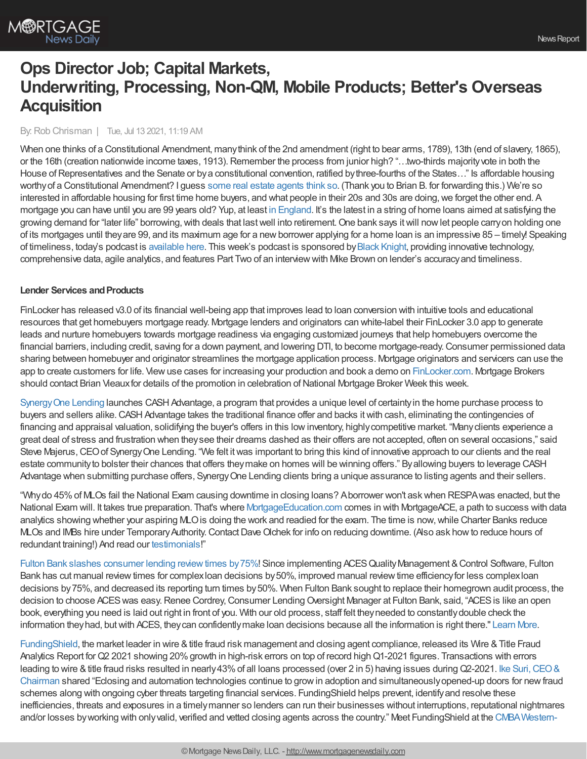# By:Rob Chrisman | Tue, Jul 13 2021, 11:19 AM

When one thinks of a Constitutional Amendment, manythink of the 2nd amendment (right to bear arms, 1789), 13th (end of slavery, 1865), or the 16th (creation nationwide income taxes, 1913). Remember the process from junior high? "...two-thirds majority vote in both the House of Representatives and the Senate or by a constitutional convention, ratified by three-fourths of the States..." Is affordable housing worthyof a Constitutional Amendment? I guess some real estate [agents](https://www.miamiherald.com/news/business/real-estate-news/article252650413.html) think so. (Thank you to Brian B. for forwarding this.) We're so interested in affordable housing for first time home buyers, and what people in their 20s and 30s are doing, we forget the other end. A mortgage you can have until you are 99 years old? Yup, at least in [England.](https://www.theguardian.com/money/2018/may/19/mortgage-99-years-old-aldermore-bank-mature-borrowers-home-loan-later-life) It's the latest in a string of home loans aimed at satisfying the growing demand for "later life" borrowing, with deals that last well into retirement. One bank says it will now let people carry on holding one of its mortgages until theyare 99, and its maximum age for a newborrower applying for a home loan is an impressive 85 – timely! Speaking of timeliness, today's podcast is [available](https://linktr.ee/dailymortgagenews) here. This week's podcast is sponsored by Black [Knight,](https://www.blackknightinc.com/) providing innovative technology, comprehensive data, agile analytics, and features Part Two of an interviewwith Mike Brown on lender's accuracyand timeliness.

# **Lender Services and Products**

FinLocker has released v3.0 of its financial well-being app that improves lead to loan conversion with intuitive tools and educational resources that get homebuyers mortgage ready. Mortgage lenders and originators can white-label their FinLocker 3.0 app to generate leads and nurture homebuyers towards mortgage readiness via engaging customized journeys that help homebuyers overcome the financial barriers, including credit, saving for a down payment, and lowering DTI, to become mortgage-ready.Consumer permissioned data sharing between homebuyer and originator streamlines the mortgage application process. Mortgage originators and servicers can use the app to create customers for life. Viewuse cases for increasing your production and book a demo on [FinLocker.com](https://finlocker.com/). Mortgage Brokers should contact Brian Vieaux for details of the promotion in celebration of National Mortgage Broker Week this week.

[SynergyOne](http://s1l.com/) Lending launches CASHAdvantage, a program that provides a unique level of certaintyin the home purchase process to buyers and sellers alike. CASH Advantage takes the traditional finance offer and backs it with cash, eliminating the contingencies of financing and appraisal valuation, solidifying the buyer's offers in this lowinventory, highlycompetitive market. "Manyclients experience a great deal of stress and frustration when theysee their dreams dashed as their offers are not accepted, often on several occasions," said Steve Majerus, CEO of Synergy One Lending. "We felt it was important to bring this kind of innovative approach to our clients and the real estate communityto bolster their chances that offers theymake on homes will be winning offers." Byallowing buyers to leverage CASH Advantage when submitting purchase offers, SynergyOne Lending clients bring a unique assurance to listing agents and their sellers.

"Whydo 45%of MLOs fail the National Exam causing downtime in closing loans? Aborrower won't askwhen RESPAwas enacted, but the National Exam will. It takes true preparation. That's where [MortgageEducation.com](http://www.mortgageeducation.com/) comes in with MortgageACE, a path to success with data analytics showing whether your aspiring MLOis doing the work and readied for the exam. The time is now,while Charter Banks reduce MLOs and IMBs hire under Temporary Authority. Contact Dave Olchek for info on reducing downtime. (Also ask how to reduce hours of redundant training!) And read our [testimonials](https://www.linkedin.com/feed/update/urn:li:activity:6790664345631236096/)!"

Fulton Bank slashes consumer lending review times by 75%! Since implementing ACES Quality Management & Control Software, Fulton Bank has cut manual review times for complex loan decisions by 50%, improved manual review time efficiency for less complex loan decisions by 75%, and decreased its reporting turn times by 50%. When Fulton Bank sought to replace their homegrown audit process, the decision to choose ACES was easy. Renee Cordrey, Consumer Lending Oversight Manager at Fulton Bank, said, "ACES is like an open book, everything you need is laid out right in front of you. With our old process, staff felt theyneeded to constantlydouble check the information they had, but with ACES, they can confidently make loan decisions because all the information is right there." [Learn](http://www.mortgagenewsdaily.com/controlpanel/blogs/%20%20https:/bit.ly/3yv7Whi) More.

[FundingShield](https://www.fundingshield.com/), the market leader in wire & title fraud risk management and closing agent compliance, released its Wire & Title Fraud Analytics Report for Q2 2021 showing 20% growth in high-risk errors on top of record high Q1-2021 figures. Transactions with errors leading to wire & title fraud risks resulted in nearly 43% of all loans processed (over 2 in 5) having issues during Q2-2021. Ike Suri, CEO & Chairman shared "Eclosing and automation technologies continue to growin adoption and [simultaneouslyopened-up](https://www.linkedin.com/in/ikesuri/) doors for newfraud schemes along with ongoing cyber threats targeting financial services. FundingShield helps prevent, identify and resolve these inefficiencies, threats and exposures in a timelymanner so lenders can run their businesses without interruptions, reputational nightmares and/or losses byworking with onlyvalid, verified and vetted closing agents across the country." Meet FundingShield at the [CMBAWestern-](https://westernsecondary.com/)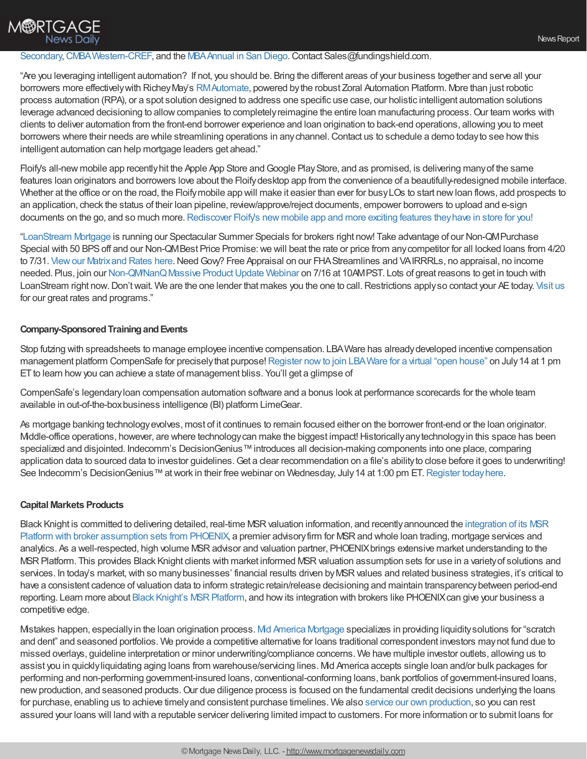# **M®RTGAGE News Daily**

## Secondary, CMBA Western-CREF, and the MBA Annual in San Diego. Contact Sales@fundingshield.com.

"Are you leveraging intelligent automation? If not, you should be. Bring the different areas of your business together and serve all your borrowers more effectively with Richey May's RM Automate, powered by the robust Zoral Automation Platform. More than just robotic process automation (RPA), or a spot solution designed to address one specific use case, our holistic intelligent automation solutions leverage advanced decisioning to allow companies to completely reimagine the entire loan manufacturing process. Our team works with clients to deliver automation from the front-end borrower experience and loan origination to back-end operations, allowing you to meet borrowers where their needs are while streamlining operations in anychannel.Contact us to schedule a demo todayto see howthis intelligent automation can help mortgage leaders get ahead."

Floify's all-new mobile app recently hit the Apple App Store and Google Play Store, and as promised, is delivering many of the same features loan originators and borrowers love about the Floifydesktop app from the convenience of a beautifully-redesigned mobile interface. Whether at the office or on the road, the Floify mobile app will make it easier than ever for busy LOs to start new loan flows, add prospects to an application, check the status of their loan pipeline, review/approve/reject documents, empower borrowers to upload and e-sign documents on the go, and so much more. [Rediscover](https://floify.com/mobile-app-ios-android?utm_source=chrisman&utm_medium=email&utm_campaign=july_commentary) Floify's new mobile app and more exciting features they have in store for you!

["LoanStream](https://loanstreamwholesale.com/) Mortgage is running our Spectacular Summer Specials for brokers right now! Take advantage of our Non-QMPurchase Special with 50 BPS off and our Non-QMBest Price Promise: we will beat the rate or price from any competitor for all locked loans from 4/20 to 7/31. View our Matrix and Rates here. Need Govy? Free Appraisal on our FHA Streamlines and VAIRRRLs, no appraisal, no income needed. Plus, join our Non-QM/NanQ Massive Product Update Webinar on 7/16 at 10AMPST. Lots of great reasons to get in touch with LoanStream right now. Don't wait. We are the one lender that makes you the one to call. Restrictions apply so contact your AE today. [Visit](https://loanstreamwholesale.com/) us for our great rates and programs."

### **Company-Sponsored Training and Events**

Stop futzing with spreadsheets to manage employee incentive compensation. LBAWare has alreadydeveloped incentive compensation management platform CompenSafe for precisely that purpose! Register now to join LBA Ware for a virtual "open house" on July 14 at 1 pm ET to learn how you can achieve a state of management bliss. You'll get a glimpse of

CompenSafe's legendaryloan compensation automation software and a bonus look at performance scorecards for the whole team available in out-of-the-boxbusiness intelligence (BI) platform LimeGear.

As mortgage banking technologyevolves, most of it continues to remain focused either on the borrower front-end or the loan originator. Middle-office operations, however, are where technology can make the biggest impact! Historically any technology in this space has been specialized and disjointed. Indecomm's DecisionGenius™ introduces all decision-making components into one place, comparing application data to sourced data to investor guidelines. Get a clear recommendation on a file's ability to close before it goes to underwriting! See Indecomm's DecisionGenius™ at work in their free webinar on Wednesday, July 14 at 1:00 pm ET. Register today here.

### **Capital Markets Products**

Black Knight is committed to delivering detailed, real-time MSRvaluation information, and [recentlyannounced](https://www.blackknightinc.com/black-knight-announces-direct-integration-to-phoenix-broker-assumption-sets-to-deliver-deeper-msr-insights-and-price-discovery/?utm_source=chrisman-newsletter&utm_medium=paid-referral&utm_campaign=SMT_Compass_MSR%20Platform&utm_content=integration-of-its-msr-platform-with-broker-assumption-sets-from-phoenix) the integration of its MSR Platform with broker assumption sets from PHOENIX, a premier advisory firm for MSR and whole loan trading, mortgage services and analytics. As a well-respected, high volume MSRadvisor and valuation partner, PHOENIXbrings extensive market understanding to the MSR Platform. This provides Black Knight clients with market informed MSR valuation assumption sets for use in a variety of solutions and services. In today's market, with so many businesses' financial results driven by MSR values and related business strategies, it's critical to have a consistent cadence of valuation data to inform strategic retain/release decisioning and maintain transparencybetween period-end reporting. Learn more about Black Knight's MSR Platform, and how its integration with brokers like PHOENIX can give your business a competitive edge.

Mistakes happen, especiallyin the loan origination process. Mid America [Mortgage](https://www.mamcorrespondent.com/) specializes in providing liquiditysolutions for "scratch and dent" and seasoned portfolios. We provide a competitive alternative for loans traditional correspondent investors maynot fund due to missed overlays, guideline interpretation or minor underwriting/compliance concerns. We have multiple investor outlets, allowing us to assist you in quicklyliquidating aging loans from warehouse/servicing lines. Mid America accepts single loan and/or bulk packages for performing and non-performing government-insured loans, conventional-conforming loans, bank portfolios of government-insured loans, new production, and seasoned products. Our due diligence process is focused on the fundamental credit decisions underlying the loans for purchase, enabling us to achieve timelyand consistent purchase timelines. We also service our own [production](https://www.midamericamortgage.com/11/04/2019/servicing-announcement/), so you can rest assured your loans will land with a reputable servicer delivering limited impact to customers. For more information or to submit loans for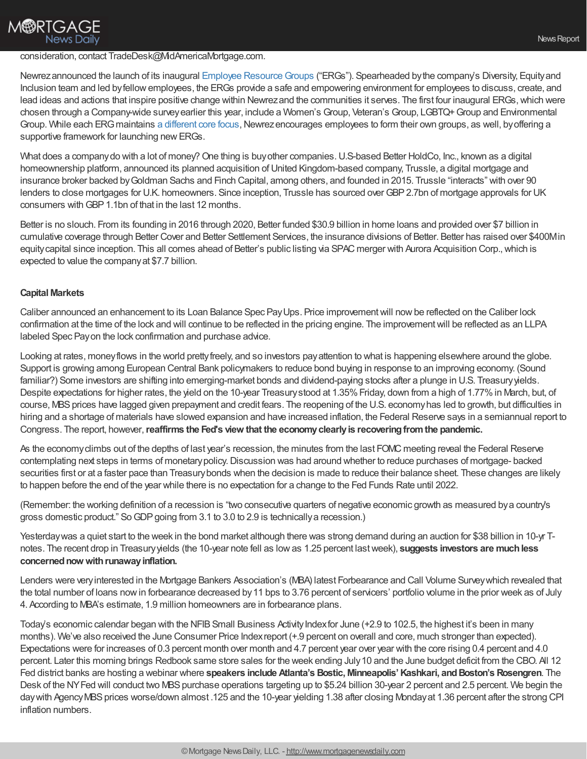# **M®RTGAGE** News Dailv

#### consideration, contact TradeDesk@MidAmericaMortgage.com.

Newrez announced the launch of its inaugural Employee Resource Groups ("ERGs"). Spearheaded by the company's Diversity, Equityand Inclusion team and led byfellowemployees, the ERGs provide a safe and empowering environment for employees to discuss, create, and lead ideas and actions that inspire positive change within Newrez and the communities it serves. The first four inaugural ERGs, which were chosen through a Company-wide surveyearlier this year, include a Women's Group, Veteran's Group, LGBTQ+Group and Environmental Group. While each ERG maintains a [different](https://www.newrez.com/press-news/newrez-launches-inaugural-employee-resource-groups/) core focus, Newrez encourages employees to form their own groups, as well, by offering a supportive framework for launching new ERGs.

What does a company do with a lot of money? One thing is buy other companies. U.S-based Better HoldCo, Inc., known as a digital homeownership platform, announced its planned acquisition of United Kingdom-based company, Trussle, a digital mortgage and insurance broker backed byGoldman Sachs and Finch Capital, among others, and founded in 2015. Trussle "interacts" with over 90 lenders to close mortgages for U.K. homeowners. Since inception, Trussle has sourced over GBP 2.7bn of mortgage approvals for UK consumers withGBP1.1bn of that in the last 12 months.

Better is no slouch. From its founding in 2016 through 2020, Better funded \$30.9 billion in home loans and provided over \$7 billion in cumulative coverage through Better Cover and Better Settlement Services, the insurance divisions of Better. Better has raised over \$400Min equitycapital since inception. This all comes ahead of Better's public listing via SPAC merger with Aurora Acquisition Corp.,which is expected to value the companyat \$7.7 billion.

#### **Capital Markets**

Caliber announced an enhancement to its Loan Balance Spec Pay Ups. Price improvement will now be reflected on the Caliber lock confirmation at the time of the lock and will continue to be reflected in the pricing engine. The improvementwill be reflected as an LLPA labeled Spec Payon the lock confirmation and purchase advice.

Looking at rates, moneyflows in the world prettyfreely, and so investors payattention to what is happening elsewhere around the globe. Support is growing among European Central Bank policymakers to reduce bond buying in response to an improving economy. (Sound familiar?) Some investors are shifting into emerging-market bonds and dividend-paying stocks after a plunge in U.S. Treasury yields. Despite expectations for higher rates, the yield on the 10-year Treasury stood at 1.35% Friday, down from a high of 1.77% in March, but, of course, MBSprices have lagged given prepayment and credit fears. The reopening of the U.S. economyhas led to growth, but difficulties in hiring and a shortage of materials have slowed expansion and have increased inflation, the Federal Reserve says in a semiannual report to Congress. The report, however,**reaffirms the Fed's view that the economyclearlyis recoveringfromthe pandemic.**

As the economyclimbs out of the depths of last year's recession, the minutes from the last FOMC meeting reveal the Federal Reserve contemplating next steps in terms of monetary policy. Discussion was had around whether to reduce purchases of mortgage- backed securities first or at a faster pace than Treasurybonds when the decision is made to reduce their balance sheet. These changes are likely to happen before the end of the year while there is no expectation for a change to the Fed Funds Rate until 2022.

(Remember: the working definition of a recession is "two consecutive quarters of negative economic growth as measured bya country's gross domestic product." So GDP going from 3.1 to 3.0 to 2.9 is technically a recession.)

Yesterday was a quiet start to the week in the bond market although there was strong demand during an auction for \$38 billion in 10-yr Tnotes. The recent drop in Treasuryyields (the 10-year note fell as lowas 1.25 percent lastweek), **suggests investors are muchless** concerned now with runaway inflation.

Lenders were veryinterested in the Mortgage Bankers Association's (MBA) latest Forbearance and Call Volume Surveywhich revealed that the total number of loans nowin forbearance decreased by11 bps to 3.76 percent of servicers' portfolio volume in the prior week as of July 4. According to MBA's estimate, 1.9 million homeowners are in forbearance plans.

Today's economic calendar began with the NFIB Small Business Activity Index for June (+2.9 to 102.5, the highest it's been in many months). We've also received the June Consumer Price Indexreport (+.9 percent on overall and core, much stronger than expected). Expectations were for increases of 0.3 percent month over month and 4.7 percent year over year with the core rising 0.4 percent and 4.0 percent. Later this morning brings Redbook same store sales for the week ending July10 and the June budget deficit from the CBO. All 12 Fed district banks are hosting a webinar where **speakers include Atlanta's Bostic, Minneapolis'Kashkari, andBoston's Rosengren**. The Desk of the NY Fed will conduct two MBS purchase operations targeting up to \$5.24 billion 30-year 2 percent and 2.5 percent. We begin the day with Agency MBS prices worse/down almost .125 and the 10-year yielding 1.38 after closing Monday at 1.36 percent after the strong CPI inflation numbers.